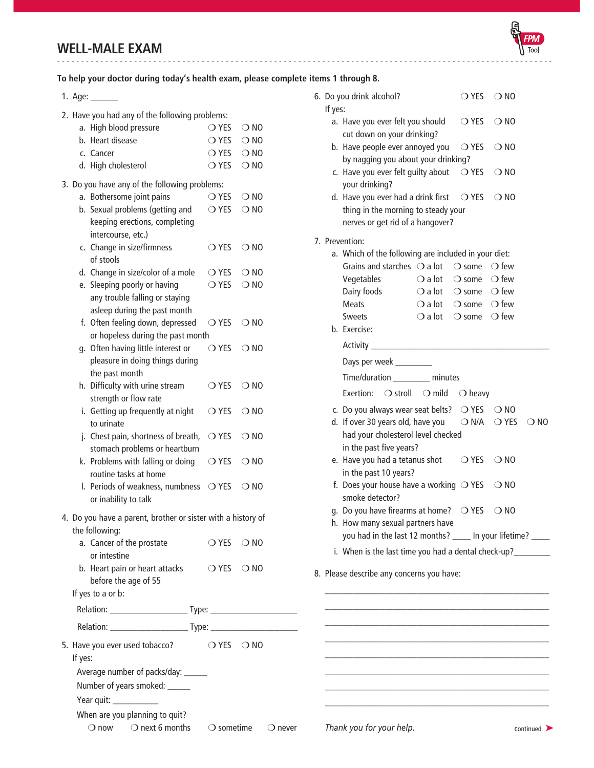# **WELL-MALE EXAM** -------------------------------------------------------------------------------------------------------



# **To help your doctor during today's health exam, please complete items 1 through 8.**

1. Age: \_\_\_\_\_\_

| 2. Have you had any of the following problems:               |                              |                  |  |
|--------------------------------------------------------------|------------------------------|------------------|--|
| a. High blood pressure                                       | $\bigcirc$ YES               | $\bigcirc$ NO    |  |
| b. Heart disease                                             | $\bigcirc$ YES $\bigcirc$ NO |                  |  |
| c. Cancer                                                    | $\bigcirc$ YES $\bigcirc$ NO |                  |  |
| d. High cholesterol                                          | $\bigcirc$ YES               | $\bigcirc$ NO    |  |
|                                                              |                              |                  |  |
| 3. Do you have any of the following problems:                |                              |                  |  |
| a. Bothersome joint pains                                    | $\bigcirc$ YES               | $\bigcirc$ NO    |  |
| b. Sexual problems (getting and                              | $\bigcirc$ YES               | $\bigcirc$ NO    |  |
| keeping erections, completing                                |                              |                  |  |
| intercourse, etc.)<br>c. Change in size/firmness             | $\bigcirc$ YES               |                  |  |
| of stools                                                    |                              | $\bigcirc$ NO    |  |
| d. Change in size/color of a mole                            | $\bigcirc$ Yes               | $\bigcirc$ NO    |  |
| e. Sleeping poorly or having                                 | $\bigcirc$ YES               | $\bigcirc$ NO    |  |
| any trouble falling or staying                               |                              |                  |  |
| asleep during the past month                                 |                              |                  |  |
| f. Often feeling down, depressed                             | $\bigcirc$ Yes               | $\bigcirc$ NO    |  |
| or hopeless during the past month                            |                              |                  |  |
| g. Often having little interest or                           | $\bigcirc$ YES               | $\bigcirc$ NO    |  |
| pleasure in doing things during                              |                              |                  |  |
| the past month                                               |                              |                  |  |
| h. Difficulty with urine stream                              | $\bigcirc$ YES               | $\bigcirc$ NO    |  |
| strength or flow rate                                        |                              |                  |  |
| i. Getting up frequently at night                            | $\bigcirc$ YES               | $\bigcirc$ NO    |  |
| to urinate                                                   |                              |                  |  |
| j. Chest pain, shortness of breath,                          | $\bigcirc$ YES               | $\bigcirc$ NO    |  |
| stomach problems or heartburn                                |                              |                  |  |
| k. Problems with falling or doing                            | $\bigcirc$ YES               | $\bigcirc$ NO    |  |
| routine tasks at home                                        |                              |                  |  |
| I. Periods of weakness, numbness $\bigcirc$ YES              |                              | $\bigcirc$ NO    |  |
| or inability to talk                                         |                              |                  |  |
| 4. Do you have a parent, brother or sister with a history of |                              |                  |  |
| the following:                                               |                              |                  |  |
| a. Cancer of the prostate                                    | O YES O NO                   |                  |  |
| or intestine                                                 |                              |                  |  |
| b. Heart pain or heart attacks                               | OYES ONO                     |                  |  |
| before the age of 55                                         |                              |                  |  |
| If yes to a or b:                                            |                              |                  |  |
|                                                              |                              |                  |  |
|                                                              |                              |                  |  |
|                                                              |                              |                  |  |
| 5. Have you ever used tobacco?                               | $OYES$ $ONO$                 |                  |  |
| If yes:                                                      |                              |                  |  |
| Average number of packs/day: ______                          |                              |                  |  |
| Number of years smoked: _____                                |                              |                  |  |
|                                                              |                              |                  |  |
| When are you planning to quit?                               |                              |                  |  |
| $\bigcirc$ now $\bigcirc$ next 6 months                      | $\bigcirc$ sometime          | $\bigcirc$ never |  |

| If yes:                                                       | 6. Do you drink alcohol?                                                                        |  | $\bigcirc$ Yes                                  | $\bigcirc$ NO  |               |
|---------------------------------------------------------------|-------------------------------------------------------------------------------------------------|--|-------------------------------------------------|----------------|---------------|
|                                                               | a. Have you ever felt you should                                                                |  | $\bigcirc$ YES                                  | $\bigcirc$ NO  |               |
|                                                               | cut down on your drinking?<br>b. Have people ever annoyed you<br>○ YES<br>$\bigcirc$ NO         |  |                                                 |                |               |
|                                                               | by nagging you about your drinking?                                                             |  |                                                 |                |               |
|                                                               | c. Have you ever felt guilty about<br>$\bigcirc$ YES<br>$\bigcirc$ NO<br>your drinking?         |  |                                                 |                |               |
|                                                               | d. Have you ever had a drink first                                                              |  | ○ YES                                           | $\bigcirc$ NO  |               |
|                                                               | thing in the morning to steady your                                                             |  |                                                 |                |               |
|                                                               | nerves or get rid of a hangover?                                                                |  |                                                 |                |               |
|                                                               | 7. Prevention:                                                                                  |  |                                                 |                |               |
|                                                               | a. Which of the following are included in your diet:                                            |  |                                                 |                |               |
|                                                               | Grains and starches $\bigcirc$ a lot $\bigcirc$ some $\bigcirc$ few                             |  |                                                 |                |               |
|                                                               | Vegetables                                                                                      |  | $\bigcirc$ a lot $\bigcirc$ some $\bigcirc$ few |                |               |
|                                                               | Dairy foods                                                                                     |  | $\bigcirc$ a lot $\bigcirc$ some $\bigcirc$ few |                |               |
|                                                               | <b>Meats</b>                                                                                    |  | $\bigcirc$ a lot $\bigcirc$ some $\bigcirc$ few |                |               |
|                                                               | <b>Sweets</b>                                                                                   |  | $\bigcirc$ a lot $\bigcirc$ some $\bigcirc$ few |                |               |
|                                                               | b. Exercise:                                                                                    |  |                                                 |                |               |
|                                                               | Activity <b>Activity</b> Activity                                                               |  |                                                 |                |               |
|                                                               | Days per week __________                                                                        |  |                                                 |                |               |
|                                                               | Time/duration ________ minutes                                                                  |  |                                                 |                |               |
|                                                               | Exertion: $\bigcirc$ stroll $\bigcirc$ mild                                                     |  | ○ heavy                                         |                |               |
|                                                               | c. Do you always wear seat belts? $\bigcirc$ YES $\bigcirc$ NO                                  |  |                                                 |                |               |
|                                                               | d. If over 30 years old, have you                                                               |  | $\bigcirc$ N/A                                  | $\bigcirc$ YES | $\bigcirc$ NO |
|                                                               | had your cholesterol level checked                                                              |  |                                                 |                |               |
|                                                               | in the past five years?                                                                         |  |                                                 |                |               |
|                                                               | e. Have you had a tetanus shot<br>in the past 10 years?                                         |  | $\bigcirc$ YES                                  | $\bigcirc$ NO  |               |
|                                                               | f. Does your house have a working $\bigcirc$ YES                                                |  |                                                 | $\bigcirc$ NO  |               |
|                                                               | smoke detector?                                                                                 |  |                                                 |                |               |
|                                                               | g. Do you have firearms at home? $\bigcirc$ YES                                                 |  |                                                 | $\bigcirc$ NO  |               |
|                                                               | h. How many sexual partners have<br>you had in the last 12 months? _____ In your lifetime? ____ |  |                                                 |                |               |
|                                                               |                                                                                                 |  |                                                 |                |               |
| i. When is the last time you had a dental check-up?__________ |                                                                                                 |  |                                                 |                |               |
| 8. Please describe any concerns you have:                     |                                                                                                 |  |                                                 |                |               |
|                                                               |                                                                                                 |  |                                                 |                |               |
|                                                               |                                                                                                 |  |                                                 |                |               |
|                                                               |                                                                                                 |  |                                                 |                |               |
|                                                               |                                                                                                 |  |                                                 |                |               |
|                                                               |                                                                                                 |  |                                                 |                |               |

\_\_\_\_\_\_\_\_\_\_\_\_\_\_\_\_\_\_\_\_\_\_\_\_\_\_\_\_\_\_\_\_\_\_\_\_\_\_\_\_\_\_\_\_\_\_\_\_\_ \_\_\_\_\_\_\_\_\_\_\_\_\_\_\_\_\_\_\_\_\_\_\_\_\_\_\_\_\_\_\_\_\_\_\_\_\_\_\_\_\_\_\_\_\_\_\_\_\_ \_\_\_\_\_\_\_\_\_\_\_\_\_\_\_\_\_\_\_\_\_\_\_\_\_\_\_\_\_\_\_\_\_\_\_\_\_\_\_\_\_\_\_\_\_\_\_\_\_